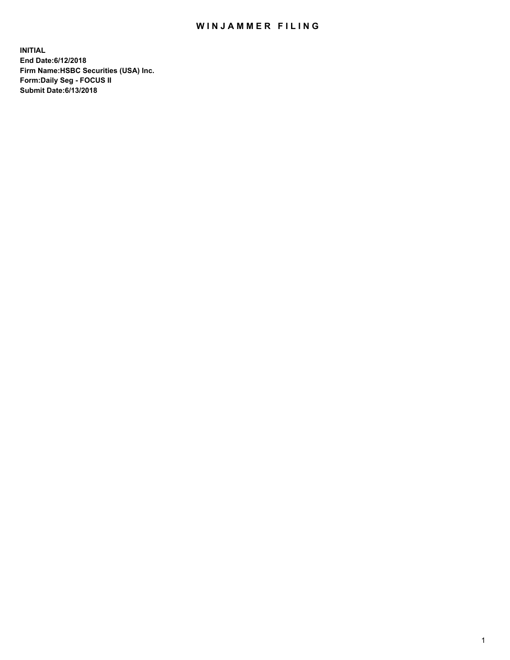## WIN JAMMER FILING

**INITIAL End Date:6/12/2018 Firm Name:HSBC Securities (USA) Inc. Form:Daily Seg - FOCUS II Submit Date:6/13/2018**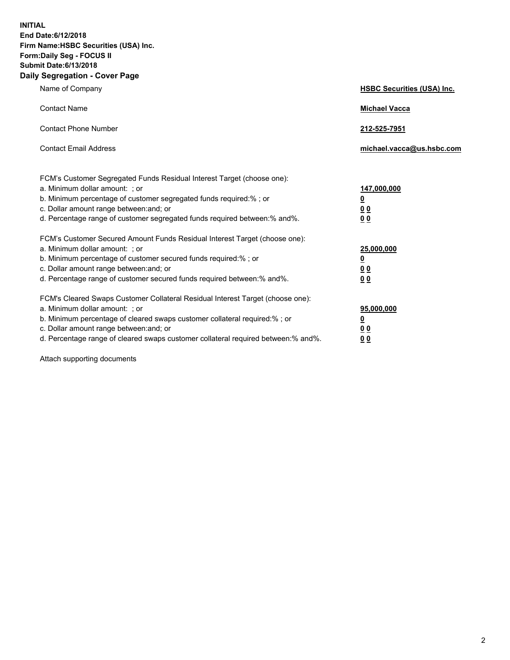**INITIAL End Date:6/12/2018 Firm Name:HSBC Securities (USA) Inc. Form:Daily Seg - FOCUS II Submit Date:6/13/2018 Daily Segregation - Cover Page**

| Name of Company                                                                                                                                                                                                                                                                                                                | <b>HSBC Securities (USA) Inc.</b>                                           |
|--------------------------------------------------------------------------------------------------------------------------------------------------------------------------------------------------------------------------------------------------------------------------------------------------------------------------------|-----------------------------------------------------------------------------|
| <b>Contact Name</b>                                                                                                                                                                                                                                                                                                            | <b>Michael Vacca</b>                                                        |
| <b>Contact Phone Number</b>                                                                                                                                                                                                                                                                                                    | 212-525-7951                                                                |
| <b>Contact Email Address</b>                                                                                                                                                                                                                                                                                                   | michael.vacca@us.hsbc.com                                                   |
| FCM's Customer Segregated Funds Residual Interest Target (choose one):<br>a. Minimum dollar amount: ; or<br>b. Minimum percentage of customer segregated funds required:% ; or<br>c. Dollar amount range between: and; or<br>d. Percentage range of customer segregated funds required between:% and%.                         | 147,000,000<br>$\underline{\mathbf{0}}$<br>0 <sub>0</sub><br>0 <sub>0</sub> |
| FCM's Customer Secured Amount Funds Residual Interest Target (choose one):<br>a. Minimum dollar amount: ; or<br>b. Minimum percentage of customer secured funds required:% ; or<br>c. Dollar amount range between: and; or<br>d. Percentage range of customer secured funds required between: % and %.                         | 25,000,000<br><u>0</u><br>0 <sub>0</sub><br>0 <sub>0</sub>                  |
| FCM's Cleared Swaps Customer Collateral Residual Interest Target (choose one):<br>a. Minimum dollar amount: ; or<br>b. Minimum percentage of cleared swaps customer collateral required:% ; or<br>c. Dollar amount range between: and; or<br>d. Percentage range of cleared swaps customer collateral required between:% and%. | 95,000,000<br><u>0</u><br>00<br>00                                          |

Attach supporting documents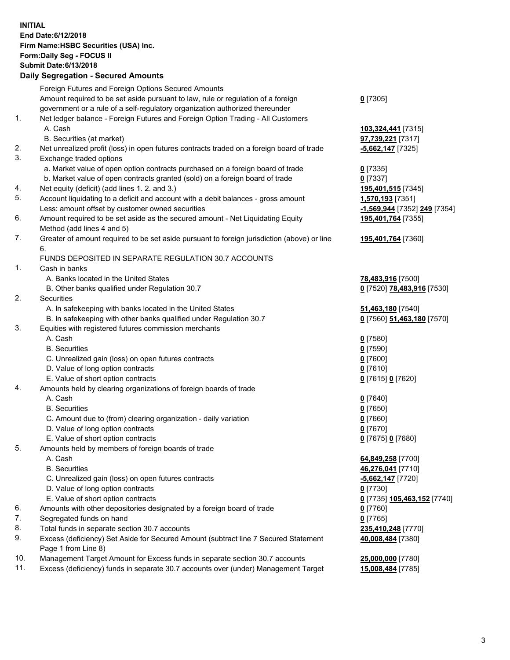**INITIAL End Date:6/12/2018 Firm Name:HSBC Securities (USA) Inc. Form:Daily Seg - FOCUS II Submit Date:6/13/2018 Daily Segregation - Secured Amounts**

Foreign Futures and Foreign Options Secured Amounts Amount required to be set aside pursuant to law, rule or regulation of a foreign government or a rule of a self-regulatory organization authorized thereunder **0** [7305] 1. Net ledger balance - Foreign Futures and Foreign Option Trading - All Customers A. Cash **103,324,441** [7315] B. Securities (at market) **97,739,221** [7317] 2. Net unrealized profit (loss) in open futures contracts traded on a foreign board of trade **-5,662,147** [7325] 3. Exchange traded options a. Market value of open option contracts purchased on a foreign board of trade **0** [7335] b. Market value of open contracts granted (sold) on a foreign board of trade **0** [7337] 4. Net equity (deficit) (add lines 1. 2. and 3.) **195,401,515** [7345] 5. Account liquidating to a deficit and account with a debit balances - gross amount **1,570,193** [7351] Less: amount offset by customer owned securities **-1,569,944** [7352] **249** [7354] 6. Amount required to be set aside as the secured amount - Net Liquidating Equity Method (add lines 4 and 5) **195,401,764** [7355] 7. Greater of amount required to be set aside pursuant to foreign jurisdiction (above) or line 6. **195,401,764** [7360] FUNDS DEPOSITED IN SEPARATE REGULATION 30.7 ACCOUNTS 1. Cash in banks A. Banks located in the United States **78,483,916** [7500] B. Other banks qualified under Regulation 30.7 **0** [7520] **78,483,916** [7530] 2. Securities A. In safekeeping with banks located in the United States **51,463,180** [7540] B. In safekeeping with other banks qualified under Regulation 30.7 **0** [7560] **51,463,180** [7570] 3. Equities with registered futures commission merchants A. Cash **0** [7580] B. Securities **0** [7590] C. Unrealized gain (loss) on open futures contracts **0** [7600] D. Value of long option contracts **0** [7610] E. Value of short option contracts **0** [7615] **0** [7620] 4. Amounts held by clearing organizations of foreign boards of trade A. Cash **0** [7640] B. Securities **0** [7650] C. Amount due to (from) clearing organization - daily variation **0** [7660] D. Value of long option contracts **0** [7670] E. Value of short option contracts **0** [7675] **0** [7680] 5. Amounts held by members of foreign boards of trade A. Cash **64,849,258** [7700] B. Securities **46,276,041** [7710] C. Unrealized gain (loss) on open futures contracts **-5,662,147** [7720] D. Value of long option contracts **0** [7730] E. Value of short option contracts **0** [7735] **105,463,152** [7740] 6. Amounts with other depositories designated by a foreign board of trade **0** [7760] 7. Segregated funds on hand **0** [7765] 8. Total funds in separate section 30.7 accounts **235,410,248** [7770] 9. Excess (deficiency) Set Aside for Secured Amount (subtract line 7 Secured Statement Page 1 from Line 8) **40,008,484** [7380] 10. Management Target Amount for Excess funds in separate section 30.7 accounts **25,000,000** [7780] 11. Excess (deficiency) funds in separate 30.7 accounts over (under) Management Target **15,008,484** [7785]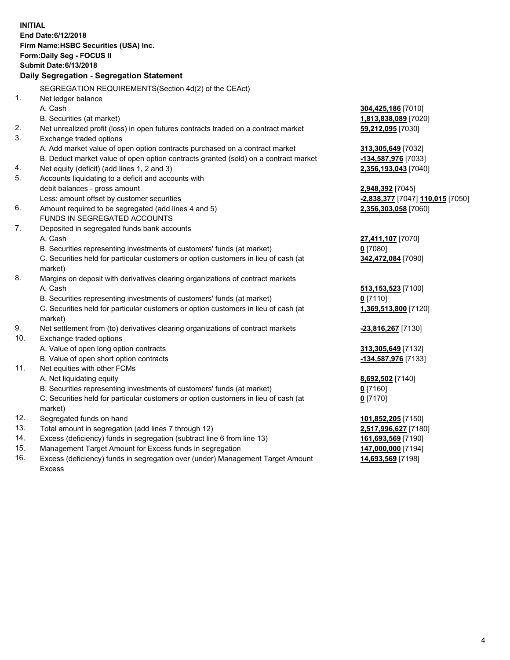|            | <b>INITIAL</b><br>End Date: 6/12/2018<br>Firm Name: HSBC Securities (USA) Inc.<br>Form: Daily Seg - FOCUS II<br><b>Submit Date: 6/13/2018</b> |                                               |
|------------|-----------------------------------------------------------------------------------------------------------------------------------------------|-----------------------------------------------|
|            | Daily Segregation - Segregation Statement                                                                                                     |                                               |
|            | SEGREGATION REQUIREMENTS(Section 4d(2) of the CEAct)                                                                                          |                                               |
| 1.         | Net ledger balance                                                                                                                            |                                               |
|            | A. Cash                                                                                                                                       | 304,425,186 [7010]                            |
|            | B. Securities (at market)                                                                                                                     | 1,813,838,089 [7020]                          |
| 2.         | Net unrealized profit (loss) in open futures contracts traded on a contract market                                                            | 59,212,095 [7030]                             |
| 3.         | Exchange traded options                                                                                                                       |                                               |
|            | A. Add market value of open option contracts purchased on a contract market                                                                   | 313,305,649 [7032]                            |
|            | B. Deduct market value of open option contracts granted (sold) on a contract market                                                           | -134,587,976 [7033]                           |
| 4.         | Net equity (deficit) (add lines 1, 2 and 3)                                                                                                   | 2,356,193,043 [7040]                          |
| 5.         | Accounts liquidating to a deficit and accounts with                                                                                           |                                               |
|            | debit balances - gross amount                                                                                                                 | 2,948,392 [7045]                              |
|            | Less: amount offset by customer securities                                                                                                    | <mark>-2,838,377</mark> [7047] 110,015 [7050] |
| 6.         | Amount required to be segregated (add lines 4 and 5)                                                                                          | 2,356,303,058 [7060]                          |
|            | FUNDS IN SEGREGATED ACCOUNTS                                                                                                                  |                                               |
| 7.         | Deposited in segregated funds bank accounts                                                                                                   |                                               |
|            | A. Cash                                                                                                                                       | 27,411,107 [7070]                             |
|            | B. Securities representing investments of customers' funds (at market)                                                                        | $0$ [7080]                                    |
|            | C. Securities held for particular customers or option customers in lieu of cash (at                                                           | 342,472,084 [7090]                            |
|            | market)                                                                                                                                       |                                               |
| 8.         | Margins on deposit with derivatives clearing organizations of contract markets                                                                |                                               |
|            | A. Cash                                                                                                                                       | 513,153,523 [7100]                            |
|            | B. Securities representing investments of customers' funds (at market)                                                                        | $0$ [7110]                                    |
|            | C. Securities held for particular customers or option customers in lieu of cash (at                                                           | 1,369,513,800 [7120]                          |
|            | market)                                                                                                                                       |                                               |
| 9.         | Net settlement from (to) derivatives clearing organizations of contract markets                                                               | -23,816,267 [7130]                            |
| 10.        | Exchange traded options                                                                                                                       |                                               |
|            | A. Value of open long option contracts                                                                                                        | 313,305,649 [7132]                            |
|            | B. Value of open short option contracts                                                                                                       | -134,587,976 [7133]                           |
| 11.        | Net equities with other FCMs                                                                                                                  |                                               |
|            | A. Net liquidating equity                                                                                                                     | 8,692,502 [7140]                              |
|            | B. Securities representing investments of customers' funds (at market)                                                                        | 0 [7160]                                      |
|            | C. Securities held for particular customers or option customers in lieu of cash (at                                                           | $0$ [7170]                                    |
|            | market)                                                                                                                                       |                                               |
| 12.        | Segregated funds on hand                                                                                                                      | 101,852,205 [7150]                            |
| 13.<br>14. | Total amount in segregation (add lines 7 through 12)                                                                                          | 2,517,996,627 [7180]                          |
| 15.        | Excess (deficiency) funds in segregation (subtract line 6 from line 13)                                                                       | 161,693,569 [7190]                            |
| 16.        | Management Target Amount for Excess funds in segregation<br>Excess (deficiency) funds in segregation over (under) Management Target Amount    | 147,000,000 [7194]                            |
|            |                                                                                                                                               | 14,693,569 [7198]                             |

16. Excess (deficiency) funds in segregation over (under) Management Target Amount Excess